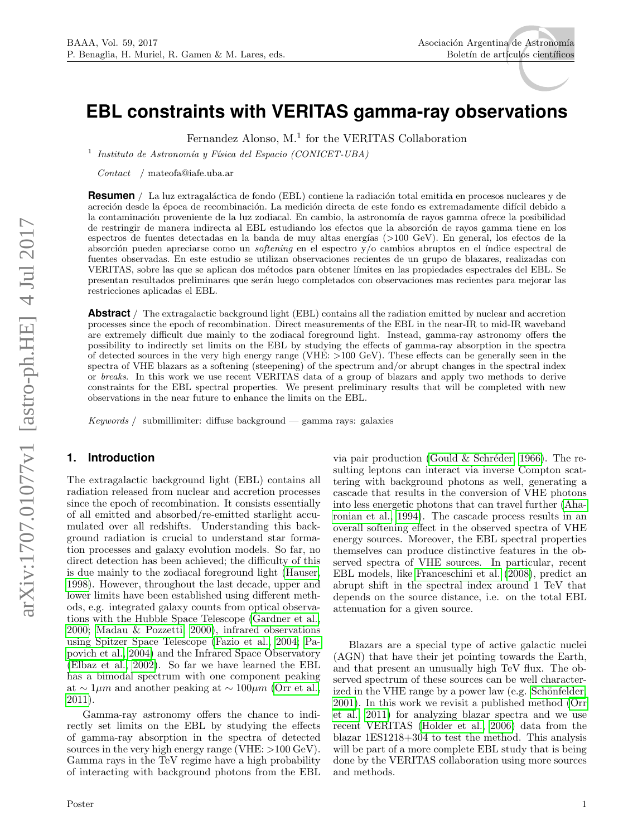# **EBL constraints with VERITAS gamma-ray observations**

Fernandez Alonso, M.<sup>1</sup> for the VERITAS Collaboration

<sup>1</sup> Instituto de Astronomía y Física del Espacio (CONICET-UBA)

Contact / mateofa@iafe.uba.ar

**Resumen** / La luz extragaláctica de fondo (EBL) contiene la radiación total emitida en procesos nucleares y de acreción desde la época de recombinación. La medición directa de este fondo es extremadamente difícil debido a la contaminación proveniente de la luz zodiacal. En cambio, la astronomía de rayos gamma ofrece la posibilidad de restringir de manera indirecta al EBL estudiando los efectos que la absorción de rayos gamma tiene en los espectros de fuentes detectadas en la banda de muy altas energías (>100 GeV). En general, los efectos de la absorción pueden apreciarse como un softening en el espectro  $y/o$  cambios abruptos en el índice espectral de fuentes observadas. En este estudio se utilizan observaciones recientes de un grupo de blazares, realizadas con VERITAS, sobre las que se aplican dos métodos para obtener límites en las propiedades espectrales del EBL. Se presentan resultados preliminares que ser´an luego completados con observaciones mas recientes para mejorar las restricciones aplicadas el EBL.

**Abstract** / The extragalactic background light (EBL) contains all the radiation emitted by nuclear and accretion processes since the epoch of recombination. Direct measurements of the EBL in the near-IR to mid-IR waveband are extremely difficult due mainly to the zodiacal foreground light. Instead, gamma-ray astronomy offers the possibility to indirectly set limits on the EBL by studying the effects of gamma-ray absorption in the spectra of detected sources in the very high energy range (VHE: >100 GeV). These effects can be generally seen in the spectra of VHE blazars as a softening (steepening) of the spectrum and/or abrupt changes in the spectral index or breaks. In this work we use recent VERITAS data of a group of blazars and apply two methods to derive constraints for the EBL spectral properties. We present preliminary results that will be completed with new observations in the near future to enhance the limits on the EBL.

Keywords / submillimiter: diffuse background — gamma rays: galaxies

# **1. Introduction**

The extragalactic background light (EBL) contains all radiation released from nuclear and accretion processes since the epoch of recombination. It consists essentially of all emitted and absorbed/re-emitted starlight accumulated over all redshifts. Understanding this background radiation is crucial to understand star formation processes and galaxy evolution models. So far, no direct detection has been achieved; the difficulty of this is due mainly to the zodiacal foreground light [\(Hauser,](#page-2-0) [1998\)](#page-2-0). However, throughout the last decade, upper and lower limits have been established using different methods, e.g. integrated galaxy counts from optical observations with the Hubble Space Telescope [\(Gardner et al.,](#page-2-1) [2000;](#page-2-1) [Madau & Pozzetti, 2000\)](#page-2-2), infrared observations using Spitzer Space Telescope [\(Fazio et al., 2004;](#page-2-3) [Pa](#page-2-4)[povich et al., 2004\)](#page-2-4) and the Infrared Space Observatory [\(Elbaz et al., 2002\)](#page-2-5). So far we have learned the EBL has a bimodal spectrum with one component peaking at  $\sim 1 \mu m$  and another peaking at  $\sim 100 \mu m$  [\(Orr et al.,](#page-2-6) [2011\)](#page-2-6).

Gamma-ray astronomy offers the chance to indirectly set limits on the EBL by studying the effects of gamma-ray absorption in the spectra of detected sources in the very high energy range (VHE:  $>100 \text{ GeV}$ ). Gamma rays in the TeV regime have a high probability of interacting with background photons from the EBL via pair production (Gould  $&$  Schréder, 1966). The resulting leptons can interact via inverse Compton scattering with background photons as well, generating a cascade that results in the conversion of VHE photons into less energetic photons that can travel further [\(Aha](#page-2-8)[ronian et al., 1994\)](#page-2-8). The cascade process results in an overall softening effect in the observed spectra of VHE energy sources. Moreover, the EBL spectral properties themselves can produce distinctive features in the observed spectra of VHE sources. In particular, recent EBL models, like [Franceschini et al. \(2008\)](#page-2-9), predict an abrupt shift in the spectral index around 1 TeV that depends on the source distance, i.e. on the total EBL attenuation for a given source.

Blazars are a special type of active galactic nuclei (AGN) that have their jet pointing towards the Earth, and that present an unusually high TeV flux. The observed spectrum of these sources can be well characterized in the VHE range by a power law (e.g. Schönfelder, [2001\)](#page-2-10). In this work we revisit a published method [\(Orr](#page-2-6) [et al., 2011\)](#page-2-6) for analyzing blazar spectra and we use recent VERITAS [\(Holder et al., 2006\)](#page-2-11) data from the blazar 1ES1218+304 to test the method. This analysis will be part of a more complete EBL study that is being done by the VERITAS collaboration using more sources and methods.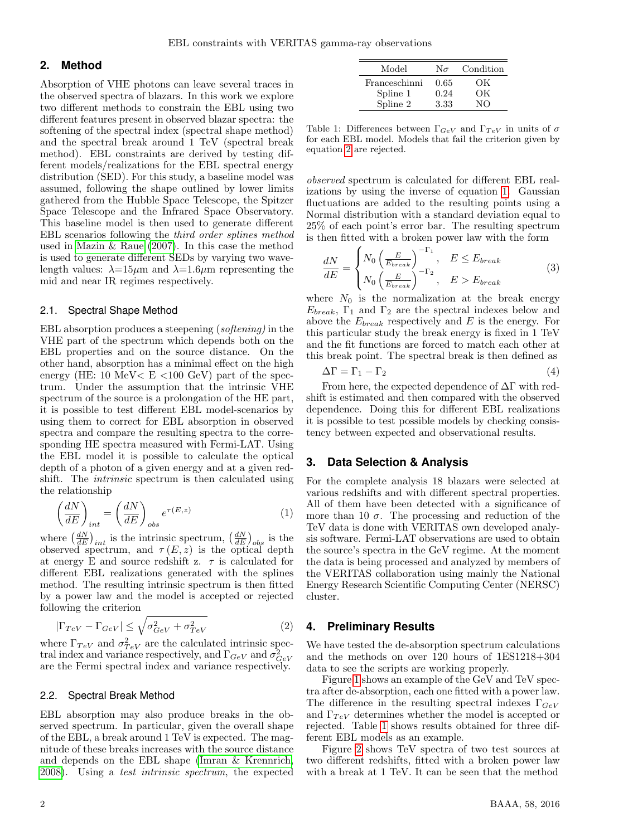## **2. Method**

Absorption of VHE photons can leave several traces in the observed spectra of blazars. In this work we explore two different methods to constrain the EBL using two different features present in observed blazar spectra: the softening of the spectral index (spectral shape method) and the spectral break around 1 TeV (spectral break method). EBL constraints are derived by testing different models/realizations for the EBL spectral energy distribution (SED). For this study, a baseline model was assumed, following the shape outlined by lower limits gathered from the Hubble Space Telescope, the Spitzer Space Telescope and the Infrared Space Observatory. This baseline model is then used to generate different EBL scenarios following the third order splines method used in [Mazin & Raue \(2007\)](#page-2-12). In this case the method is used to generate different SEDs by varying two wavelength values:  $\lambda = 15\mu m$  and  $\lambda = 1.6\mu m$  representing the mid and near IR regimes respectively.

### 2.1. Spectral Shape Method

EBL absorption produces a steepening (softening) in the VHE part of the spectrum which depends both on the EBL properties and on the source distance. On the other hand, absorption has a minimal effect on the high energy (HE: 10 MeV $\lt E \lt 100$  GeV) part of the spectrum. Under the assumption that the intrinsic VHE spectrum of the source is a prolongation of the HE part, it is possible to test different EBL model-scenarios by using them to correct for EBL absorption in observed spectra and compare the resulting spectra to the corresponding HE spectra measured with Fermi-LAT. Using the EBL model it is possible to calculate the optical depth of a photon of a given energy and at a given redshift. The intrinsic spectrum is then calculated using the relationship

<span id="page-1-1"></span>
$$
\left(\frac{dN}{dE}\right)_{int} = \left(\frac{dN}{dE}\right)_{obs} e^{\tau(E,z)} \tag{1}
$$

where  $\left(\frac{dN}{dE}\right)_{int}$  is the intrinsic spectrum,  $\left(\frac{dN}{dE}\right)_{obs}$  is the observed spectrum, and  $\tau(E, z)$  is the optical depth at energy E and source redshift z.  $\tau$  is calculated for different EBL realizations generated with the splines method. The resulting intrinsic spectrum is then fitted by a power law and the model is accepted or rejected following the criterion

<span id="page-1-0"></span>
$$
|\Gamma_{TeV} - \Gamma_{GeV}| \le \sqrt{\sigma_{GeV}^2 + \sigma_{TeV}^2} \tag{2}
$$

where  $\Gamma_{TeV}$  and  $\sigma_{TeV}^2$  are the calculated intrinsic spectral index and variance respectively, and  $\Gamma_{GeV}$  and  $\sigma_{GeV}^2$ are the Fermi spectral index and variance respectively.

#### 2.2. Spectral Break Method

EBL absorption may also produce breaks in the observed spectrum. In particular, given the overall shape of the EBL, a break around 1 TeV is expected. The magnitude of these breaks increases with the source distance and depends on the EBL shape [\(Imran & Krennrich,](#page-2-13) [2008\)](#page-2-13). Using a test intrinsic spectrum, the expected

<span id="page-1-2"></span>

| Model         | $N_{\sigma}$ | Condition |
|---------------|--------------|-----------|
| Franceschinni | 0.65         | OК        |
| Spline 1      | 0.24         | OК        |
| Spline 2      | 3.33         | NΟ        |

Table 1: Differences between  $\Gamma_{GeV}$  and  $\Gamma_{TeV}$  in units of  $\sigma$ for each EBL model. Models that fail the criterion given by equation [2](#page-1-0) are rejected.

observed spectrum is calculated for different EBL realizations by using the inverse of equation [1.](#page-1-1) Gaussian fluctuations are added to the resulting points using a Normal distribution with a standard deviation equal to 25% of each point's error bar. The resulting spectrum is then fitted with a broken power law with the form

<span id="page-1-3"></span>
$$
\frac{dN}{dE} = \begin{cases} N_0 \left(\frac{E}{E_{break}}\right)^{-\Gamma_1}, & E \le E_{break} \\ N_0 \left(\frac{E}{E_{break}}\right)^{-\Gamma_2}, & E > E_{break} \end{cases}
$$
(3)

where  $N_0$  is the normalization at the break energy  $E_{break}$ ,  $\Gamma_1$  and  $\Gamma_2$  are the spectral indexes below and above the  $E_{break}$  respectively and E is the energy. For this particular study the break energy is fixed in 1 TeV and the fit functions are forced to match each other at this break point. The spectral break is then defined as

$$
\Delta \Gamma = \Gamma_1 - \Gamma_2 \tag{4}
$$

From here, the expected dependence of  $\Delta\Gamma$  with redshift is estimated and then compared with the observed dependence. Doing this for different EBL realizations it is possible to test possible models by checking consistency between expected and observational results.

## **3. Data Selection & Analysis**

For the complete analysis 18 blazars were selected at various redshifts and with different spectral properties. All of them have been detected with a significance of more than 10  $\sigma$ . The processing and reduction of the TeV data is done with VERITAS own developed analysis software. Fermi-LAT observations are used to obtain the source's spectra in the GeV regime. At the moment the data is being processed and analyzed by members of the VERITAS collaboration using mainly the National Energy Research Scientific Computing Center (NERSC) cluster.

## **4. Preliminary Results**

We have tested the de-absorption spectrum calculations and the methods on over 120 hours of 1ES1218+304 data to see the scripts are working properly.

Figure [1](#page-2-14) shows an example of the GeV and TeV spectra after de-absorption, each one fitted with a power law. The difference in the resulting spectral indexes  $\Gamma_{GeV}$ and  $\Gamma_{TeV}$  determines whether the model is accepted or rejected. Table [1](#page-1-2) shows results obtained for three different EBL models as an example.

Figure [2](#page-2-15) shows TeV spectra of two test sources at two different redshifts, fitted with a broken power law with a break at 1 TeV. It can be seen that the method